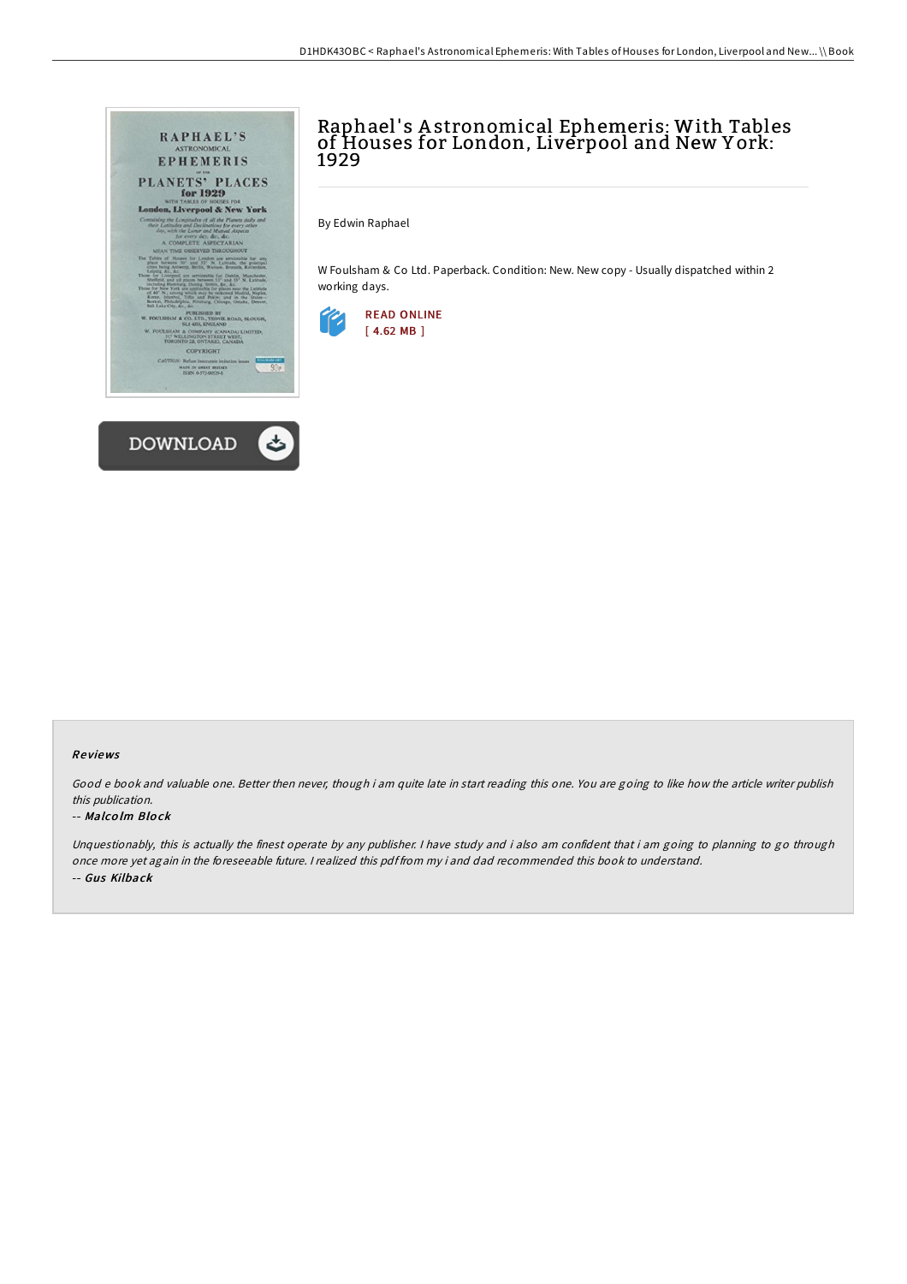

## Raphael' s A stronomical Ephemeris: With Tables of Houses for London, Liverpool and New Y ork: 1929

By Edwin Raphael

W Foulsham & Co Ltd. Paperback. Condition: New. New copy - Usually dispatched within 2 working days.



### Re views

Good <sup>e</sup> book and valuable one. Better then never, though i am quite late in start reading this one. You are going to like how the article writer publish this publication.

#### -- Malco lm Blo ck

Unquestionably, this is actually the finest operate by any publisher. <sup>I</sup> have study and i also am confident that i am going to planning to go through once more yet again in the foreseeable future. <sup>I</sup> realized this pdf from my i and dad recommended this book to understand. -- Gus Kilback